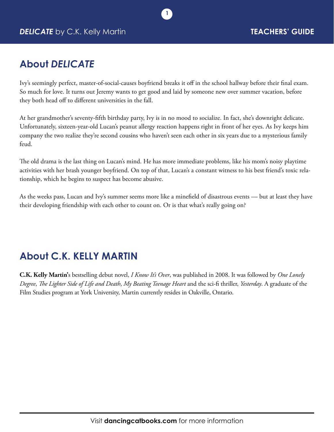

### **About** *DELICATE*

Ivy's seemingly perfect, master-of-social-causes boyfriend breaks it off in the school hallway before their final exam. So much for love. It turns out Jeremy wants to get good and laid by someone new over summer vacation, before they both head off to different universities in the fall.

**1**

At her grandmother's seventy-fifth birthday party, Ivy is in no mood to socialize. In fact, she's downright delicate. Unfortunately, sixteen-year-old Lucan's peanut allergy reaction happens right in front of her eyes. As Ivy keeps him company the two realize they're second cousins who haven't seen each other in six years due to a mysterious family feud.

The old drama is the last thing on Lucan's mind. He has more immediate problems, like his mom's noisy playtime activities with her brash younger boyfriend. On top of that, Lucan's a constant witness to his best friend's toxic relationship, which he begins to suspect has become abusive.

As the weeks pass, Lucan and Ivy's summer seems more like a minefield of disastrous events — but at least they have their developing friendship with each other to count on. Or is that what's really going on?

## **About C.K. KELLY MARTIN**

**C.K. Kelly Martin'**s bestselling debut novel, *I Know It's Over*, was published in 2008. It was followed by *One Lonely Degree*, *The Lighter Side of Life and Death*, *My Beating Teenage Heart* and the sci-fi thriller, *Yesterday*. A graduate of the Film Studies program at York University, Martin currently resides in Oakville, Ontario.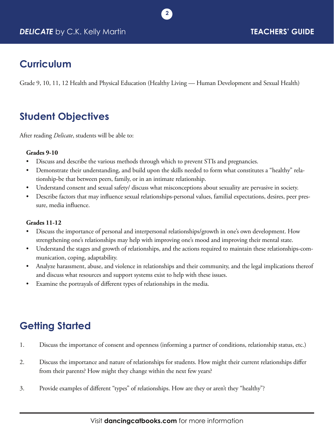

### **Curriculum**

Grade 9, 10, 11, 12 Health and Physical Education (Healthy Living — Human Development and Sexual Health)

**2**

## **Student Objectives**

After reading *Delicate*, students will be able to:

#### **Grades 9-10**

- Discuss and describe the various methods through which to prevent STIs and pregnancies.
- Demonstrate their understanding, and build upon the skills needed to form what constitutes a "healthy" relationship-be that between peers, family, or in an intimate relationship.
- Understand consent and sexual safety/ discuss what misconceptions about sexuality are pervasive in society.
- Describe factors that may influence sexual relationships-personal values, familial expectations, desires, peer pressure, media influence.

#### **Grades 11-12**

- Discuss the importance of personal and interpersonal relationships/growth in one's own development. How strengthening one's relationships may help with improving one's mood and improving their mental state.
- Understand the stages and growth of relationships, and the actions required to maintain these relationships-communication, coping, adaptability.
- Analyze harassment, abuse, and violence in relationships and their community, and the legal implications thereof and discuss what resources and support systems exist to help with these issues.
- Examine the portrayals of different types of relationships in the media.

# **Getting Started**

- 1. Discuss the importance of consent and openness (informing a partner of conditions, relationship status, etc.)
- 2. Discuss the importance and nature of relationships for students. How might their current relationships differ from their parents? How might they change within the next few years?
- 3. Provide examples of different "types" of relationships. How are they or aren't they "healthy"?